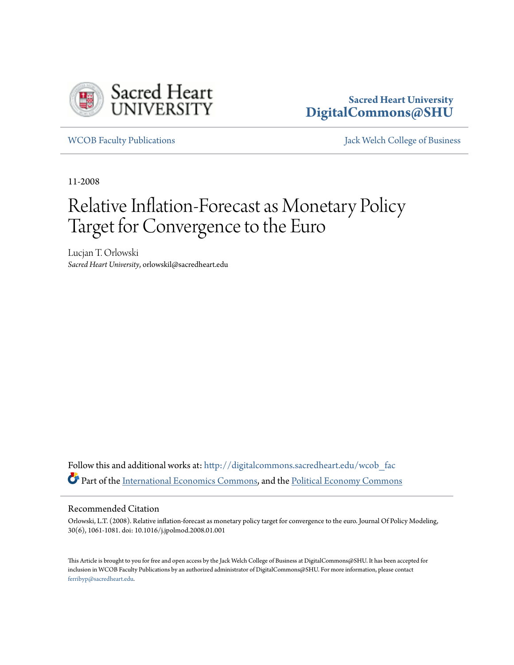

# **Sacred Heart University [DigitalCommons@SHU](http://digitalcommons.sacredheart.edu?utm_source=digitalcommons.sacredheart.edu%2Fwcob_fac%2F225&utm_medium=PDF&utm_campaign=PDFCoverPages)**

[WCOB Faculty Publications](http://digitalcommons.sacredheart.edu/wcob_fac?utm_source=digitalcommons.sacredheart.edu%2Fwcob_fac%2F225&utm_medium=PDF&utm_campaign=PDFCoverPages) [Jack Welch College of Business](http://digitalcommons.sacredheart.edu/wcob?utm_source=digitalcommons.sacredheart.edu%2Fwcob_fac%2F225&utm_medium=PDF&utm_campaign=PDFCoverPages)

11-2008

# Relative Inflation-Forecast as Monetary Policy Target for Convergence to the Euro

Lucjan T. Orlowski *Sacred Heart University*, orlowskil@sacredheart.edu

Follow this and additional works at: [http://digitalcommons.sacredheart.edu/wcob\\_fac](http://digitalcommons.sacredheart.edu/wcob_fac?utm_source=digitalcommons.sacredheart.edu%2Fwcob_fac%2F225&utm_medium=PDF&utm_campaign=PDFCoverPages) Part of the [International Economics Commons,](http://network.bepress.com/hgg/discipline/348?utm_source=digitalcommons.sacredheart.edu%2Fwcob_fac%2F225&utm_medium=PDF&utm_campaign=PDFCoverPages) and the [Political Economy Commons](http://network.bepress.com/hgg/discipline/352?utm_source=digitalcommons.sacredheart.edu%2Fwcob_fac%2F225&utm_medium=PDF&utm_campaign=PDFCoverPages)

#### Recommended Citation

Orlowski, L.T. (2008). Relative inflation-forecast as monetary policy target for convergence to the euro. Journal Of Policy Modeling, 30(6), 1061-1081. doi: 10.1016/j.jpolmod.2008.01.001

This Article is brought to you for free and open access by the Jack Welch College of Business at DigitalCommons@SHU. It has been accepted for inclusion in WCOB Faculty Publications by an authorized administrator of DigitalCommons@SHU. For more information, please contact [ferribyp@sacredheart.edu](mailto:ferribyp@sacredheart.edu).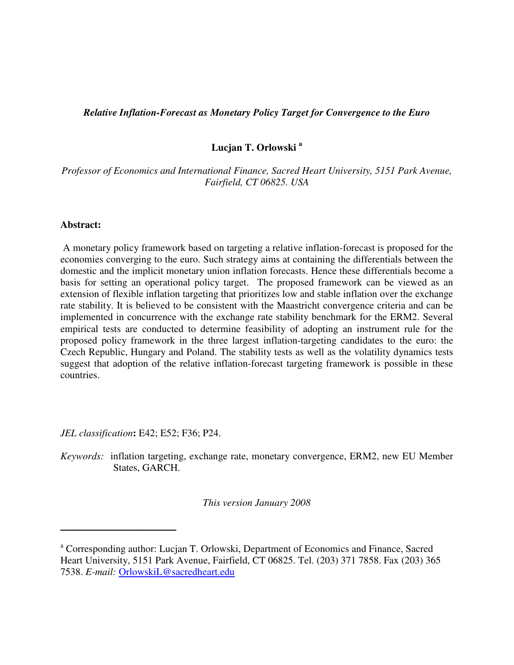# *Relative Inflation-Forecast as Monetary Policy Target for Convergence to the Euro*

**Lucjan T. Orlowski <sup>a</sup>**

*Professor of Economics and International Finance, Sacred Heart University, 5151 Park Avenue, Fairfield, CT 06825. USA* 

## **Abstract:**

 A monetary policy framework based on targeting a relative inflation-forecast is proposed for the economies converging to the euro. Such strategy aims at containing the differentials between the domestic and the implicit monetary union inflation forecasts. Hence these differentials become a basis for setting an operational policy target. The proposed framework can be viewed as an extension of flexible inflation targeting that prioritizes low and stable inflation over the exchange rate stability. It is believed to be consistent with the Maastricht convergence criteria and can be implemented in concurrence with the exchange rate stability benchmark for the ERM2. Several empirical tests are conducted to determine feasibility of adopting an instrument rule for the proposed policy framework in the three largest inflation-targeting candidates to the euro: the Czech Republic, Hungary and Poland. The stability tests as well as the volatility dynamics tests suggest that adoption of the relative inflation-forecast targeting framework is possible in these countries.

*JEL classification***:** E42; E52; F36; P24.

\_\_\_\_\_\_\_\_\_\_\_\_\_\_\_\_\_\_\_\_\_\_\_

*Keywords:* inflation targeting, exchange rate, monetary convergence, ERM2, new EU Member States, GARCH.

*This version January 2008* 

<sup>&</sup>lt;sup>a</sup> Corresponding author: Lucjan T. Orlowski, Department of Economics and Finance, Sacred Heart University, 5151 Park Avenue, Fairfield, CT 06825. Tel. (203) 371 7858. Fax (203) 365 7538. *E-mail:* OrlowskiL@sacredheart.edu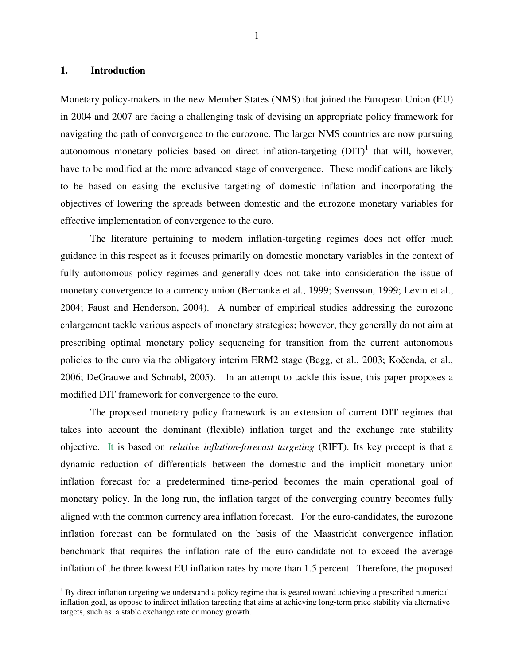## **1. Introduction**

 $\overline{a}$ 

Monetary policy-makers in the new Member States (NMS) that joined the European Union (EU) in 2004 and 2007 are facing a challenging task of devising an appropriate policy framework for navigating the path of convergence to the eurozone. The larger NMS countries are now pursuing autonomous monetary policies based on direct inflation-targeting  $(DIT)^1$  that will, however, have to be modified at the more advanced stage of convergence. These modifications are likely to be based on easing the exclusive targeting of domestic inflation and incorporating the objectives of lowering the spreads between domestic and the eurozone monetary variables for effective implementation of convergence to the euro.

The literature pertaining to modern inflation-targeting regimes does not offer much guidance in this respect as it focuses primarily on domestic monetary variables in the context of fully autonomous policy regimes and generally does not take into consideration the issue of monetary convergence to a currency union (Bernanke et al., 1999; Svensson, 1999; Levin et al., 2004; Faust and Henderson, 2004). A number of empirical studies addressing the eurozone enlargement tackle various aspects of monetary strategies; however, they generally do not aim at prescribing optimal monetary policy sequencing for transition from the current autonomous policies to the euro via the obligatory interim ERM2 stage (Begg, et al., 2003; Kočenda, et al., 2006; DeGrauwe and Schnabl, 2005). In an attempt to tackle this issue, this paper proposes a modified DIT framework for convergence to the euro.

The proposed monetary policy framework is an extension of current DIT regimes that takes into account the dominant (flexible) inflation target and the exchange rate stability objective. It is based on *relative inflation-forecast targeting* (RIFT). Its key precept is that a dynamic reduction of differentials between the domestic and the implicit monetary union inflation forecast for a predetermined time-period becomes the main operational goal of monetary policy. In the long run, the inflation target of the converging country becomes fully aligned with the common currency area inflation forecast. For the euro-candidates, the eurozone inflation forecast can be formulated on the basis of the Maastricht convergence inflation benchmark that requires the inflation rate of the euro-candidate not to exceed the average inflation of the three lowest EU inflation rates by more than 1.5 percent. Therefore, the proposed

 $1$  By direct inflation targeting we understand a policy regime that is geared toward achieving a prescribed numerical inflation goal, as oppose to indirect inflation targeting that aims at achieving long-term price stability via alternative targets, such as a stable exchange rate or money growth.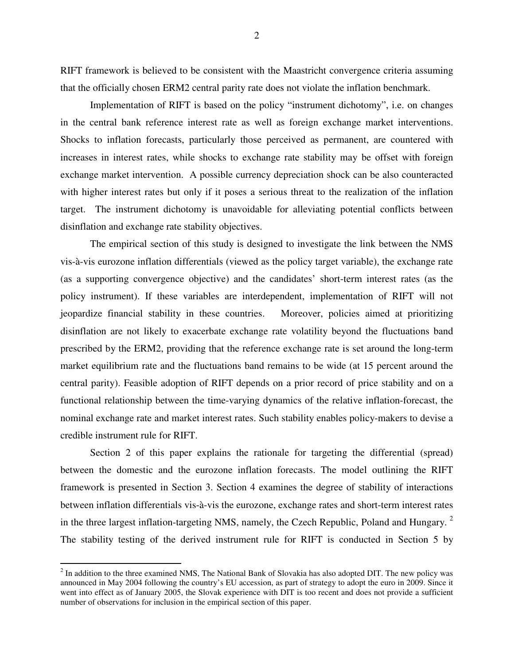RIFT framework is believed to be consistent with the Maastricht convergence criteria assuming that the officially chosen ERM2 central parity rate does not violate the inflation benchmark.

Implementation of RIFT is based on the policy "instrument dichotomy", i.e. on changes in the central bank reference interest rate as well as foreign exchange market interventions. Shocks to inflation forecasts, particularly those perceived as permanent, are countered with increases in interest rates, while shocks to exchange rate stability may be offset with foreign exchange market intervention. A possible currency depreciation shock can be also counteracted with higher interest rates but only if it poses a serious threat to the realization of the inflation target. The instrument dichotomy is unavoidable for alleviating potential conflicts between disinflation and exchange rate stability objectives.

The empirical section of this study is designed to investigate the link between the NMS vis-à-vis eurozone inflation differentials (viewed as the policy target variable), the exchange rate (as a supporting convergence objective) and the candidates' short-term interest rates (as the policy instrument). If these variables are interdependent, implementation of RIFT will not jeopardize financial stability in these countries. Moreover, policies aimed at prioritizing disinflation are not likely to exacerbate exchange rate volatility beyond the fluctuations band prescribed by the ERM2, providing that the reference exchange rate is set around the long-term market equilibrium rate and the fluctuations band remains to be wide (at 15 percent around the central parity). Feasible adoption of RIFT depends on a prior record of price stability and on a functional relationship between the time-varying dynamics of the relative inflation-forecast, the nominal exchange rate and market interest rates. Such stability enables policy-makers to devise a credible instrument rule for RIFT.

Section 2 of this paper explains the rationale for targeting the differential (spread) between the domestic and the eurozone inflation forecasts. The model outlining the RIFT framework is presented in Section 3. Section 4 examines the degree of stability of interactions between inflation differentials vis-à-vis the eurozone, exchange rates and short-term interest rates in the three largest inflation-targeting NMS, namely, the Czech Republic, Poland and Hungary.  $2\overline{ }$ The stability testing of the derived instrument rule for RIFT is conducted in Section 5 by

<sup>&</sup>lt;sup>2</sup> In addition to the three examined NMS, The National Bank of Slovakia has also adopted DIT. The new policy was announced in May 2004 following the country's EU accession, as part of strategy to adopt the euro in 2009. Since it went into effect as of January 2005, the Slovak experience with DIT is too recent and does not provide a sufficient number of observations for inclusion in the empirical section of this paper.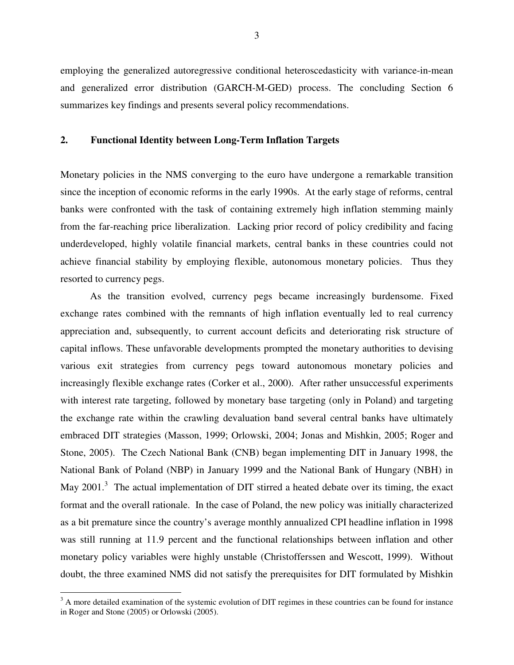employing the generalized autoregressive conditional heteroscedasticity with variance-in-mean and generalized error distribution (GARCH-M-GED) process. The concluding Section 6 summarizes key findings and presents several policy recommendations.

#### **2. Functional Identity between Long-Term Inflation Targets**

Monetary policies in the NMS converging to the euro have undergone a remarkable transition since the inception of economic reforms in the early 1990s. At the early stage of reforms, central banks were confronted with the task of containing extremely high inflation stemming mainly from the far-reaching price liberalization. Lacking prior record of policy credibility and facing underdeveloped, highly volatile financial markets, central banks in these countries could not achieve financial stability by employing flexible, autonomous monetary policies. Thus they resorted to currency pegs.

 As the transition evolved, currency pegs became increasingly burdensome. Fixed exchange rates combined with the remnants of high inflation eventually led to real currency appreciation and, subsequently, to current account deficits and deteriorating risk structure of capital inflows. These unfavorable developments prompted the monetary authorities to devising various exit strategies from currency pegs toward autonomous monetary policies and increasingly flexible exchange rates (Corker et al., 2000). After rather unsuccessful experiments with interest rate targeting, followed by monetary base targeting (only in Poland) and targeting the exchange rate within the crawling devaluation band several central banks have ultimately embraced DIT strategies (Masson, 1999; Orlowski, 2004; Jonas and Mishkin, 2005; Roger and Stone, 2005). The Czech National Bank (CNB) began implementing DIT in January 1998, the National Bank of Poland (NBP) in January 1999 and the National Bank of Hungary (NBH) in May  $2001$ .<sup>3</sup> The actual implementation of DIT stirred a heated debate over its timing, the exact format and the overall rationale. In the case of Poland, the new policy was initially characterized as a bit premature since the country's average monthly annualized CPI headline inflation in 1998 was still running at 11.9 percent and the functional relationships between inflation and other monetary policy variables were highly unstable (Christofferssen and Wescott, 1999). Without doubt, the three examined NMS did not satisfy the prerequisites for DIT formulated by Mishkin

<sup>&</sup>lt;sup>3</sup> A more detailed examination of the systemic evolution of DIT regimes in these countries can be found for instance in Roger and Stone (2005) or Orlowski (2005).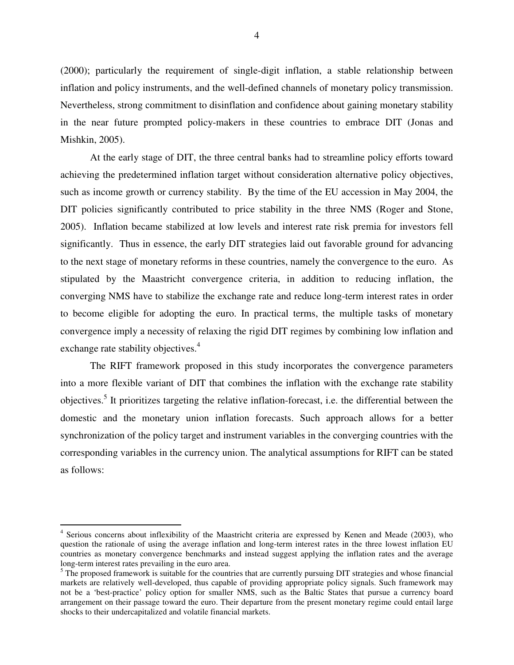(2000); particularly the requirement of single-digit inflation, a stable relationship between inflation and policy instruments, and the well-defined channels of monetary policy transmission. Nevertheless, strong commitment to disinflation and confidence about gaining monetary stability in the near future prompted policy-makers in these countries to embrace DIT (Jonas and Mishkin, 2005).

At the early stage of DIT, the three central banks had to streamline policy efforts toward achieving the predetermined inflation target without consideration alternative policy objectives, such as income growth or currency stability. By the time of the EU accession in May 2004, the DIT policies significantly contributed to price stability in the three NMS (Roger and Stone, 2005). Inflation became stabilized at low levels and interest rate risk premia for investors fell significantly. Thus in essence, the early DIT strategies laid out favorable ground for advancing to the next stage of monetary reforms in these countries, namely the convergence to the euro. As stipulated by the Maastricht convergence criteria, in addition to reducing inflation, the converging NMS have to stabilize the exchange rate and reduce long-term interest rates in order to become eligible for adopting the euro. In practical terms, the multiple tasks of monetary convergence imply a necessity of relaxing the rigid DIT regimes by combining low inflation and exchange rate stability objectives.<sup>4</sup>

The RIFT framework proposed in this study incorporates the convergence parameters into a more flexible variant of DIT that combines the inflation with the exchange rate stability objectives.<sup>5</sup> It prioritizes targeting the relative inflation-forecast, i.e. the differential between the domestic and the monetary union inflation forecasts. Such approach allows for a better synchronization of the policy target and instrument variables in the converging countries with the corresponding variables in the currency union. The analytical assumptions for RIFT can be stated as follows:

 $\overline{a}$ 

<sup>&</sup>lt;sup>4</sup> Serious concerns about inflexibility of the Maastricht criteria are expressed by Kenen and Meade (2003), who question the rationale of using the average inflation and long-term interest rates in the three lowest inflation EU countries as monetary convergence benchmarks and instead suggest applying the inflation rates and the average long-term interest rates prevailing in the euro area.

 $<sup>5</sup>$  The proposed framework is suitable for the countries that are currently pursuing DIT strategies and whose financial</sup> markets are relatively well-developed, thus capable of providing appropriate policy signals. Such framework may not be a 'best-practice' policy option for smaller NMS, such as the Baltic States that pursue a currency board arrangement on their passage toward the euro. Their departure from the present monetary regime could entail large shocks to their undercapitalized and volatile financial markets.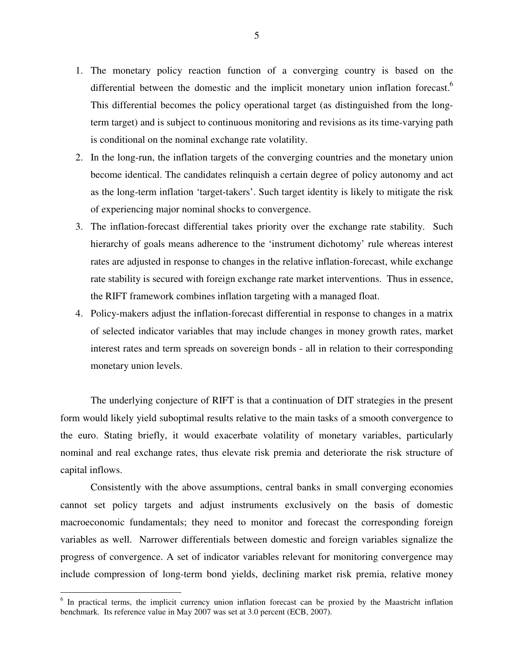- 1. The monetary policy reaction function of a converging country is based on the differential between the domestic and the implicit monetary union inflation forecast.<sup>6</sup> This differential becomes the policy operational target (as distinguished from the longterm target) and is subject to continuous monitoring and revisions as its time-varying path is conditional on the nominal exchange rate volatility.
- 2. In the long-run, the inflation targets of the converging countries and the monetary union become identical. The candidates relinquish a certain degree of policy autonomy and act as the long-term inflation 'target-takers'. Such target identity is likely to mitigate the risk of experiencing major nominal shocks to convergence.
- 3. The inflation-forecast differential takes priority over the exchange rate stability. Such hierarchy of goals means adherence to the 'instrument dichotomy' rule whereas interest rates are adjusted in response to changes in the relative inflation-forecast, while exchange rate stability is secured with foreign exchange rate market interventions. Thus in essence, the RIFT framework combines inflation targeting with a managed float.
- 4. Policy-makers adjust the inflation-forecast differential in response to changes in a matrix of selected indicator variables that may include changes in money growth rates, market interest rates and term spreads on sovereign bonds - all in relation to their corresponding monetary union levels.

The underlying conjecture of RIFT is that a continuation of DIT strategies in the present form would likely yield suboptimal results relative to the main tasks of a smooth convergence to the euro. Stating briefly, it would exacerbate volatility of monetary variables, particularly nominal and real exchange rates, thus elevate risk premia and deteriorate the risk structure of capital inflows.

Consistently with the above assumptions, central banks in small converging economies cannot set policy targets and adjust instruments exclusively on the basis of domestic macroeconomic fundamentals; they need to monitor and forecast the corresponding foreign variables as well. Narrower differentials between domestic and foreign variables signalize the progress of convergence. A set of indicator variables relevant for monitoring convergence may include compression of long-term bond yields, declining market risk premia, relative money

 $\overline{a}$ 

<sup>&</sup>lt;sup>6</sup> In practical terms, the implicit currency union inflation forecast can be proxied by the Maastricht inflation benchmark. Its reference value in May 2007 was set at 3.0 percent (ECB, 2007).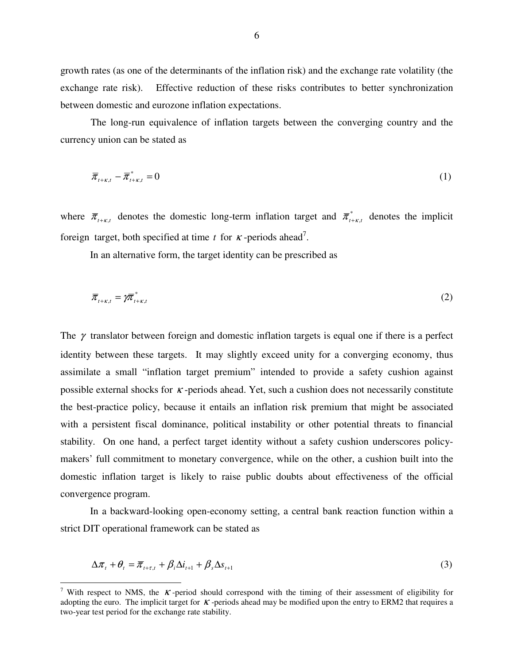growth rates (as one of the determinants of the inflation risk) and the exchange rate volatility (the exchange rate risk). Effective reduction of these risks contributes to better synchronization between domestic and eurozone inflation expectations.

The long-run equivalence of inflation targets between the converging country and the currency union can be stated as

$$
\overline{\pi}_{t+\kappa,t} - \overline{\pi}_{t+\kappa,t}^* = 0 \tag{1}
$$

where  $\bar{\pi}_{t+k,t}$  denotes the domestic long-term inflation target and  $\bar{\pi}_{t+k,t}^*$  denotes the implicit foreign target, both specified at time  $t$  for  $\kappa$ -periods ahead<sup>7</sup>.

In an alternative form, the target identity can be prescribed as

$$
\overline{\pi}_{t+\kappa,t} = \gamma \overline{\pi}_{t+\kappa,t}^* \tag{2}
$$

The  $\gamma$  translator between foreign and domestic inflation targets is equal one if there is a perfect identity between these targets. It may slightly exceed unity for a converging economy, thus assimilate a small "inflation target premium" intended to provide a safety cushion against possible external shocks for  $\kappa$ -periods ahead. Yet, such a cushion does not necessarily constitute the best-practice policy, because it entails an inflation risk premium that might be associated with a persistent fiscal dominance, political instability or other potential threats to financial stability. On one hand, a perfect target identity without a safety cushion underscores policymakers' full commitment to monetary convergence, while on the other, a cushion built into the domestic inflation target is likely to raise public doubts about effectiveness of the official convergence program.

 In a backward-looking open-economy setting, a central bank reaction function within a strict DIT operational framework can be stated as

$$
\Delta \pi_t + \theta_t = \overline{\pi}_{t+\tau, t} + \beta_i \Delta i_{t+1} + \beta_s \Delta s_{t+1}
$$
\n(3)

l

<sup>&</sup>lt;sup>7</sup> With respect to NMS, the K-period should correspond with the timing of their assessment of eligibility for adopting the euro. The implicit target for  $\kappa$ -periods ahead may be modified upon the entry to ERM2 that requires a two-year test period for the exchange rate stability.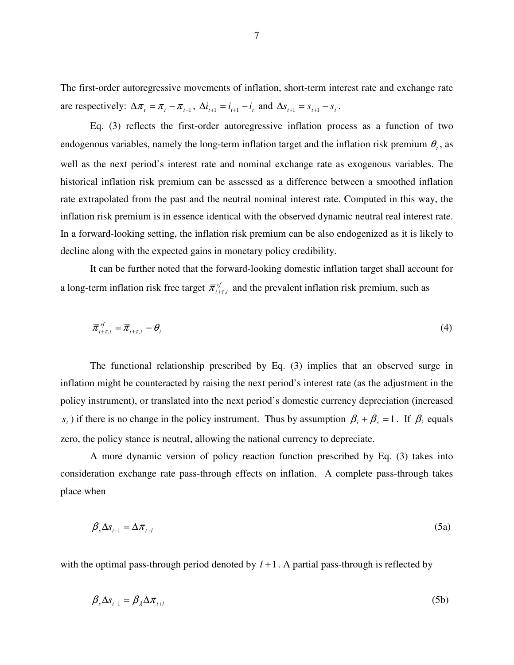The first-order autoregressive movements of inflation, short-term interest rate and exchange rate are respectively:  $\Delta \pi_t = \pi_t - \pi_{t-1}$ ,  $\Delta i_{t+1} = i_{t+1} - i_t$  and  $\Delta s_{t+1} = s_{t+1} - s_t$ .

Eq. (3) reflects the first-order autoregressive inflation process as a function of two endogenous variables, namely the long-term inflation target and the inflation risk premium  $\theta_t$ , as well as the next period's interest rate and nominal exchange rate as exogenous variables. The historical inflation risk premium can be assessed as a difference between a smoothed inflation rate extrapolated from the past and the neutral nominal interest rate. Computed in this way, the inflation risk premium is in essence identical with the observed dynamic neutral real interest rate. In a forward-looking setting, the inflation risk premium can be also endogenized as it is likely to decline along with the expected gains in monetary policy credibility.

It can be further noted that the forward-looking domestic inflation target shall account for a long-term inflation risk free target  $\bar{\pi}_{t+\tau,t}^{rf}$  and the prevalent inflation risk premium, such as

$$
\overline{\pi}_{t+\tau,t}^{rf} = \overline{\pi}_{t+\tau,t} - \theta_t
$$
\n(4)

 The functional relationship prescribed by Eq. (3) implies that an observed surge in inflation might be counteracted by raising the next period's interest rate (as the adjustment in the policy instrument), or translated into the next period's domestic currency depreciation (increased  $s_t$ ) if there is no change in the policy instrument. Thus by assumption  $\beta_i + \beta_s = 1$ . If  $\beta_i$  equals zero, the policy stance is neutral, allowing the national currency to depreciate.

A more dynamic version of policy reaction function prescribed by Eq. (3) takes into consideration exchange rate pass-through effects on inflation. A complete pass-through takes place when

$$
\beta_{s} \Delta s_{t-1} = \Delta \pi_{t+1} \tag{5a}
$$

with the optimal pass-through period denoted by  $l + 1$ . A partial pass-through is reflected by

$$
\beta_{s} \Delta s_{t-1} = \beta_{\lambda} \Delta \pi_{t+1} \tag{5b}
$$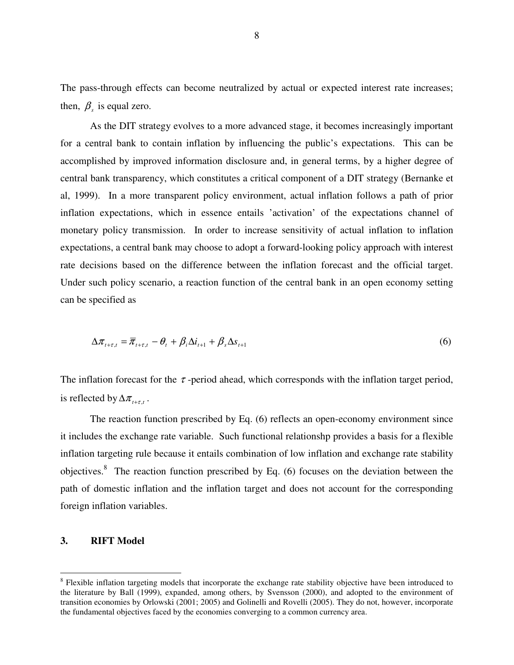The pass-through effects can become neutralized by actual or expected interest rate increases; then,  $\beta_s$  is equal zero.

 As the DIT strategy evolves to a more advanced stage, it becomes increasingly important for a central bank to contain inflation by influencing the public's expectations. This can be accomplished by improved information disclosure and, in general terms, by a higher degree of central bank transparency, which constitutes a critical component of a DIT strategy (Bernanke et al, 1999). In a more transparent policy environment, actual inflation follows a path of prior inflation expectations, which in essence entails 'activation' of the expectations channel of monetary policy transmission. In order to increase sensitivity of actual inflation to inflation expectations, a central bank may choose to adopt a forward-looking policy approach with interest rate decisions based on the difference between the inflation forecast and the official target. Under such policy scenario, a reaction function of the central bank in an open economy setting can be specified as

$$
\Delta \pi_{t+\tau,t} = \overline{\pi}_{t+\tau,t} - \theta_t + \beta_t \Delta i_{t+1} + \beta_s \Delta s_{t+1}
$$
\n
$$
\tag{6}
$$

The inflation forecast for the  $\tau$ -period ahead, which corresponds with the inflation target period, is reflected by  $\Delta \pi_{t+\tau,t}$ .

 The reaction function prescribed by Eq. (6) reflects an open-economy environment since it includes the exchange rate variable. Such functional relationshp provides a basis for a flexible inflation targeting rule because it entails combination of low inflation and exchange rate stability objectives.<sup>8</sup> The reaction function prescribed by Eq. (6) focuses on the deviation between the path of domestic inflation and the inflation target and does not account for the corresponding foreign inflation variables.

# **3. RIFT Model**

 $\overline{a}$ 

<sup>&</sup>lt;sup>8</sup> Flexible inflation targeting models that incorporate the exchange rate stability objective have been introduced to the literature by Ball (1999), expanded, among others, by Svensson (2000), and adopted to the environment of transition economies by Orlowski (2001; 2005) and Golinelli and Rovelli (2005). They do not, however, incorporate the fundamental objectives faced by the economies converging to a common currency area.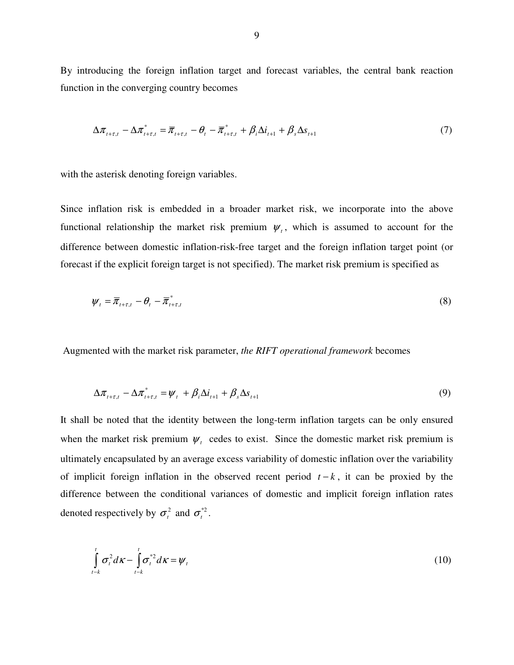By introducing the foreign inflation target and forecast variables, the central bank reaction function in the converging country becomes

$$
\Delta \pi_{t+\tau,t} - \Delta \pi_{t+\tau,t}^* = \overline{\pi}_{t+\tau,t} - \theta_t - \overline{\pi}_{t+\tau,t}^* + \beta_t \Delta i_{t+1} + \beta_s \Delta s_{t+1}
$$
\n<sup>(7)</sup>

with the asterisk denoting foreign variables.

Since inflation risk is embedded in a broader market risk, we incorporate into the above functional relationship the market risk premium  $\psi_t$ , which is assumed to account for the difference between domestic inflation-risk-free target and the foreign inflation target point (or forecast if the explicit foreign target is not specified). The market risk premium is specified as

$$
\psi_t = \overline{\pi}_{t+\tau,t} - \theta_t - \overline{\pi}_{t+\tau,t}^* \tag{8}
$$

Augmented with the market risk parameter, *the RIFT operational framework* becomes

$$
\Delta \pi_{t+\tau,t} - \Delta \pi_{t+\tau,t}^* = \psi_t + \beta_i \Delta i_{t+1} + \beta_s \Delta s_{t+1}
$$
\n
$$
(9)
$$

It shall be noted that the identity between the long-term inflation targets can be only ensured when the market risk premium  $\psi_t$  cedes to exist. Since the domestic market risk premium is ultimately encapsulated by an average excess variability of domestic inflation over the variability of implicit foreign inflation in the observed recent period *t* − *k* , it can be proxied by the difference between the conditional variances of domestic and implicit foreign inflation rates denoted respectively by  $\sigma_t^2$  and  $\sigma_t^{*2}$ .

$$
\int_{t-k}^{t} \sigma_t^2 d\kappa - \int_{t-k}^{t} \sigma_t^{*2} d\kappa = \psi_t
$$
\n(10)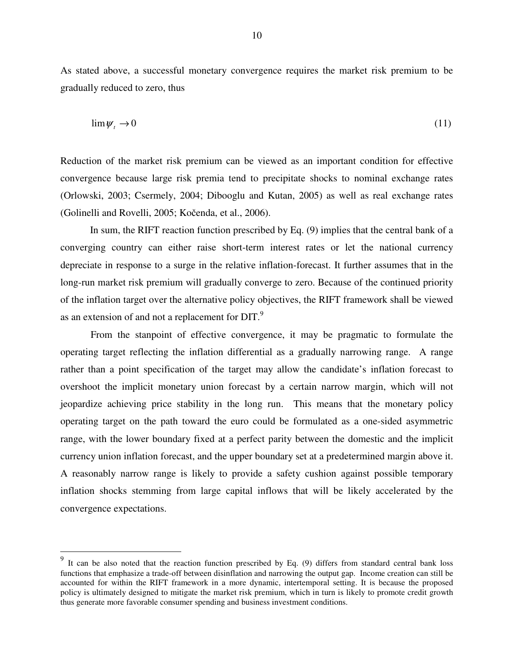As stated above, a successful monetary convergence requires the market risk premium to be gradually reduced to zero, thus

$$
\lim \psi_t \to 0 \tag{11}
$$

Reduction of the market risk premium can be viewed as an important condition for effective convergence because large risk premia tend to precipitate shocks to nominal exchange rates (Orlowski, 2003; Csermely, 2004; Dibooglu and Kutan, 2005) as well as real exchange rates (Golinelli and Rovelli, 2005; Kočenda, et al., 2006).

In sum, the RIFT reaction function prescribed by Eq. (9) implies that the central bank of a converging country can either raise short-term interest rates or let the national currency depreciate in response to a surge in the relative inflation-forecast. It further assumes that in the long-run market risk premium will gradually converge to zero. Because of the continued priority of the inflation target over the alternative policy objectives, the RIFT framework shall be viewed as an extension of and not a replacement for  $DTI$ .<sup>9</sup>

From the stanpoint of effective convergence, it may be pragmatic to formulate the operating target reflecting the inflation differential as a gradually narrowing range. A range rather than a point specification of the target may allow the candidate's inflation forecast to overshoot the implicit monetary union forecast by a certain narrow margin, which will not jeopardize achieving price stability in the long run. This means that the monetary policy operating target on the path toward the euro could be formulated as a one-sided asymmetric range, with the lower boundary fixed at a perfect parity between the domestic and the implicit currency union inflation forecast, and the upper boundary set at a predetermined margin above it. A reasonably narrow range is likely to provide a safety cushion against possible temporary inflation shocks stemming from large capital inflows that will be likely accelerated by the convergence expectations.

 9 It can be also noted that the reaction function prescribed by Eq. (9) differs from standard central bank loss functions that emphasize a trade-off between disinflation and narrowing the output gap. Income creation can still be accounted for within the RIFT framework in a more dynamic, intertemporal setting. It is because the proposed policy is ultimately designed to mitigate the market risk premium, which in turn is likely to promote credit growth thus generate more favorable consumer spending and business investment conditions.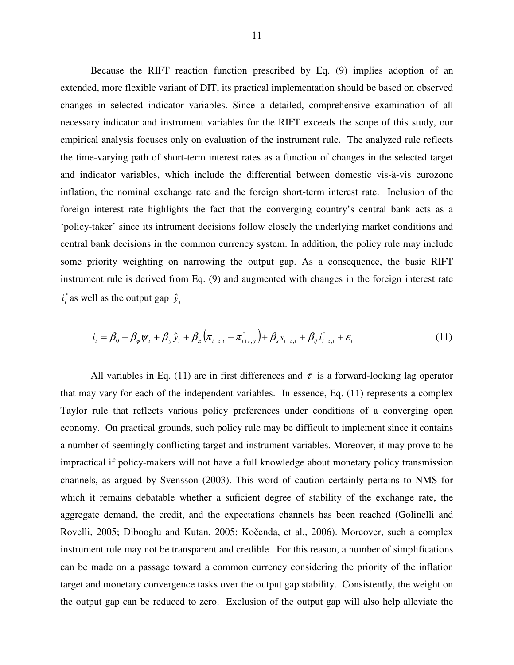Because the RIFT reaction function prescribed by Eq. (9) implies adoption of an extended, more flexible variant of DIT, its practical implementation should be based on observed changes in selected indicator variables. Since a detailed, comprehensive examination of all necessary indicator and instrument variables for the RIFT exceeds the scope of this study, our empirical analysis focuses only on evaluation of the instrument rule. The analyzed rule reflects the time-varying path of short-term interest rates as a function of changes in the selected target and indicator variables, which include the differential between domestic vis-à-vis eurozone inflation, the nominal exchange rate and the foreign short-term interest rate. Inclusion of the foreign interest rate highlights the fact that the converging country's central bank acts as a 'policy-taker' since its intrument decisions follow closely the underlying market conditions and central bank decisions in the common currency system. In addition, the policy rule may include some priority weighting on narrowing the output gap. As a consequence, the basic RIFT instrument rule is derived from Eq. (9) and augmented with changes in the foreign interest rate \*  $i_t^*$  as well as the output gap  $\hat{y}_t$ 

$$
i_t = \beta_0 + \beta_\psi \psi_t + \beta_y \hat{y}_t + \beta_\pi \left(\pi_{t+\tau,t} - \pi_{t+\tau,y}^*\right) + \beta_s s_{t+\tau,t} + \beta_{ij} i_{t+\tau,t}^* + \varepsilon_t
$$
\n(11)

All variables in Eq. (11) are in first differences and  $\tau$  is a forward-looking lag operator that may vary for each of the independent variables. In essence, Eq. (11) represents a complex Taylor rule that reflects various policy preferences under conditions of a converging open economy. On practical grounds, such policy rule may be difficult to implement since it contains a number of seemingly conflicting target and instrument variables. Moreover, it may prove to be impractical if policy-makers will not have a full knowledge about monetary policy transmission channels, as argued by Svensson (2003). This word of caution certainly pertains to NMS for which it remains debatable whether a suficient degree of stability of the exchange rate, the aggregate demand, the credit, and the expectations channels has been reached (Golinelli and Rovelli, 2005; Dibooglu and Kutan, 2005; Kočenda, et al., 2006). Moreover, such a complex instrument rule may not be transparent and credible. For this reason, a number of simplifications can be made on a passage toward a common currency considering the priority of the inflation target and monetary convergence tasks over the output gap stability. Consistently, the weight on the output gap can be reduced to zero. Exclusion of the output gap will also help alleviate the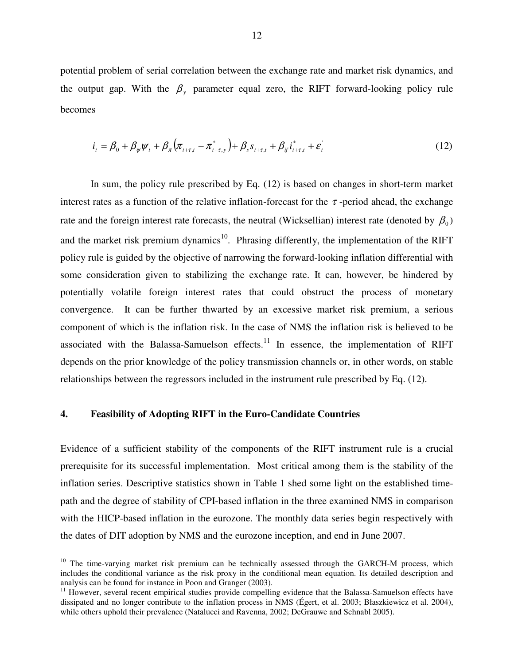potential problem of serial correlation between the exchange rate and market risk dynamics, and the output gap. With the  $\beta_{y}$  parameter equal zero, the RIFT forward-looking policy rule becomes

$$
i_t = \beta_0 + \beta_\psi \psi_t + \beta_\pi \big(\pi_{t+\tau,t} - \pi_{t+\tau,y}^*\big) + \beta_s s_{t+\tau,t} + \beta_{t} i_{t+\tau,t}^* + \varepsilon_t^{\prime}
$$
\n<sup>(12)</sup>

In sum, the policy rule prescribed by Eq. (12) is based on changes in short-term market interest rates as a function of the relative inflation-forecast for the  $\tau$ -period ahead, the exchange rate and the foreign interest rate forecasts, the neutral (Wicksellian) interest rate (denoted by  $\beta_0$ ) and the market risk premium dynamics<sup>10</sup>. Phrasing differently, the implementation of the RIFT policy rule is guided by the objective of narrowing the forward-looking inflation differential with some consideration given to stabilizing the exchange rate. It can, however, be hindered by potentially volatile foreign interest rates that could obstruct the process of monetary convergence. It can be further thwarted by an excessive market risk premium, a serious component of which is the inflation risk. In the case of NMS the inflation risk is believed to be associated with the Balassa-Samuelson effects. $11$  In essence, the implementation of RIFT depends on the prior knowledge of the policy transmission channels or, in other words, on stable relationships between the regressors included in the instrument rule prescribed by Eq. (12).

#### **4. Feasibility of Adopting RIFT in the Euro-Candidate Countries**

 $\overline{a}$ 

Evidence of a sufficient stability of the components of the RIFT instrument rule is a crucial prerequisite for its successful implementation. Most critical among them is the stability of the inflation series. Descriptive statistics shown in Table 1 shed some light on the established timepath and the degree of stability of CPI-based inflation in the three examined NMS in comparison with the HICP-based inflation in the eurozone. The monthly data series begin respectively with the dates of DIT adoption by NMS and the eurozone inception, and end in June 2007.

<sup>&</sup>lt;sup>10</sup> The time-varying market risk premium can be technically assessed through the GARCH-M process, which includes the conditional variance as the risk proxy in the conditional mean equation. Its detailed description and analysis can be found for instance in Poon and Granger (2003).

 $11$  However, several recent empirical studies provide compelling evidence that the Balassa-Samuelson effects have dissipated and no longer contribute to the inflation process in NMS (Égert, et al. 2003; Błaszkiewicz et al. 2004), while others uphold their prevalence (Natalucci and Ravenna, 2002; DeGrauwe and Schnabl 2005).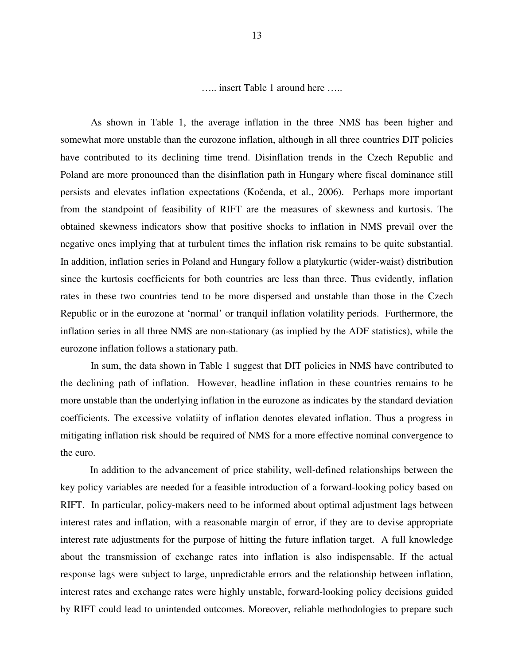….. insert Table 1 around here …..

As shown in Table 1, the average inflation in the three NMS has been higher and somewhat more unstable than the eurozone inflation, although in all three countries DIT policies have contributed to its declining time trend. Disinflation trends in the Czech Republic and Poland are more pronounced than the disinflation path in Hungary where fiscal dominance still persists and elevates inflation expectations (Kočenda, et al., 2006). Perhaps more important from the standpoint of feasibility of RIFT are the measures of skewness and kurtosis. The obtained skewness indicators show that positive shocks to inflation in NMS prevail over the negative ones implying that at turbulent times the inflation risk remains to be quite substantial. In addition, inflation series in Poland and Hungary follow a platykurtic (wider-waist) distribution since the kurtosis coefficients for both countries are less than three. Thus evidently, inflation rates in these two countries tend to be more dispersed and unstable than those in the Czech Republic or in the eurozone at 'normal' or tranquil inflation volatility periods. Furthermore, the inflation series in all three NMS are non-stationary (as implied by the ADF statistics), while the eurozone inflation follows a stationary path.

In sum, the data shown in Table 1 suggest that DIT policies in NMS have contributed to the declining path of inflation. However, headline inflation in these countries remains to be more unstable than the underlying inflation in the eurozone as indicates by the standard deviation coefficients. The excessive volatiity of inflation denotes elevated inflation. Thus a progress in mitigating inflation risk should be required of NMS for a more effective nominal convergence to the euro.

In addition to the advancement of price stability, well-defined relationships between the key policy variables are needed for a feasible introduction of a forward-looking policy based on RIFT. In particular, policy-makers need to be informed about optimal adjustment lags between interest rates and inflation, with a reasonable margin of error, if they are to devise appropriate interest rate adjustments for the purpose of hitting the future inflation target. A full knowledge about the transmission of exchange rates into inflation is also indispensable. If the actual response lags were subject to large, unpredictable errors and the relationship between inflation, interest rates and exchange rates were highly unstable, forward-looking policy decisions guided by RIFT could lead to unintended outcomes. Moreover, reliable methodologies to prepare such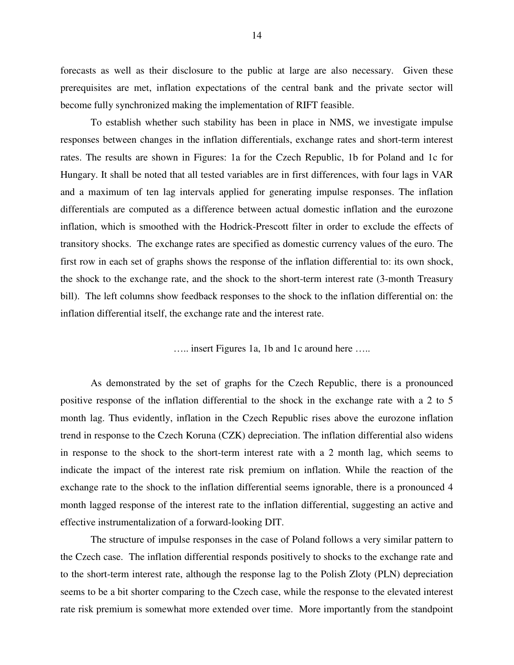forecasts as well as their disclosure to the public at large are also necessary. Given these prerequisites are met, inflation expectations of the central bank and the private sector will become fully synchronized making the implementation of RIFT feasible.

To establish whether such stability has been in place in NMS, we investigate impulse responses between changes in the inflation differentials, exchange rates and short-term interest rates. The results are shown in Figures: 1a for the Czech Republic, 1b for Poland and 1c for Hungary. It shall be noted that all tested variables are in first differences, with four lags in VAR and a maximum of ten lag intervals applied for generating impulse responses. The inflation differentials are computed as a difference between actual domestic inflation and the eurozone inflation, which is smoothed with the Hodrick-Prescott filter in order to exclude the effects of transitory shocks. The exchange rates are specified as domestic currency values of the euro. The first row in each set of graphs shows the response of the inflation differential to: its own shock, the shock to the exchange rate, and the shock to the short-term interest rate (3-month Treasury bill). The left columns show feedback responses to the shock to the inflation differential on: the inflation differential itself, the exchange rate and the interest rate.

….. insert Figures 1a, 1b and 1c around here …..

As demonstrated by the set of graphs for the Czech Republic, there is a pronounced positive response of the inflation differential to the shock in the exchange rate with a 2 to 5 month lag. Thus evidently, inflation in the Czech Republic rises above the eurozone inflation trend in response to the Czech Koruna (CZK) depreciation. The inflation differential also widens in response to the shock to the short-term interest rate with a 2 month lag, which seems to indicate the impact of the interest rate risk premium on inflation. While the reaction of the exchange rate to the shock to the inflation differential seems ignorable, there is a pronounced 4 month lagged response of the interest rate to the inflation differential, suggesting an active and effective instrumentalization of a forward-looking DIT.

The structure of impulse responses in the case of Poland follows a very similar pattern to the Czech case. The inflation differential responds positively to shocks to the exchange rate and to the short-term interest rate, although the response lag to the Polish Zloty (PLN) depreciation seems to be a bit shorter comparing to the Czech case, while the response to the elevated interest rate risk premium is somewhat more extended over time. More importantly from the standpoint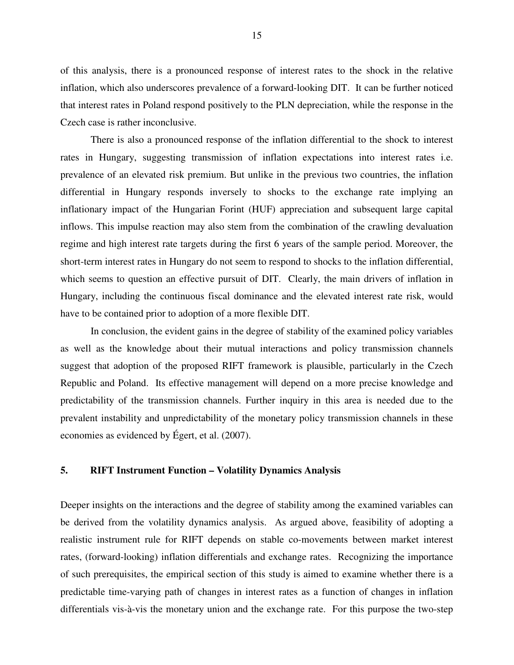of this analysis, there is a pronounced response of interest rates to the shock in the relative inflation, which also underscores prevalence of a forward-looking DIT. It can be further noticed that interest rates in Poland respond positively to the PLN depreciation, while the response in the Czech case is rather inconclusive.

There is also a pronounced response of the inflation differential to the shock to interest rates in Hungary, suggesting transmission of inflation expectations into interest rates i.e. prevalence of an elevated risk premium. But unlike in the previous two countries, the inflation differential in Hungary responds inversely to shocks to the exchange rate implying an inflationary impact of the Hungarian Forint (HUF) appreciation and subsequent large capital inflows. This impulse reaction may also stem from the combination of the crawling devaluation regime and high interest rate targets during the first 6 years of the sample period. Moreover, the short-term interest rates in Hungary do not seem to respond to shocks to the inflation differential, which seems to question an effective pursuit of DIT. Clearly, the main drivers of inflation in Hungary, including the continuous fiscal dominance and the elevated interest rate risk, would have to be contained prior to adoption of a more flexible DIT.

In conclusion, the evident gains in the degree of stability of the examined policy variables as well as the knowledge about their mutual interactions and policy transmission channels suggest that adoption of the proposed RIFT framework is plausible, particularly in the Czech Republic and Poland. Its effective management will depend on a more precise knowledge and predictability of the transmission channels. Further inquiry in this area is needed due to the prevalent instability and unpredictability of the monetary policy transmission channels in these economies as evidenced by Égert, et al. (2007).

### **5. RIFT Instrument Function – Volatility Dynamics Analysis**

Deeper insights on the interactions and the degree of stability among the examined variables can be derived from the volatility dynamics analysis. As argued above, feasibility of adopting a realistic instrument rule for RIFT depends on stable co-movements between market interest rates, (forward-looking) inflation differentials and exchange rates. Recognizing the importance of such prerequisites, the empirical section of this study is aimed to examine whether there is a predictable time-varying path of changes in interest rates as a function of changes in inflation differentials vis-à-vis the monetary union and the exchange rate. For this purpose the two-step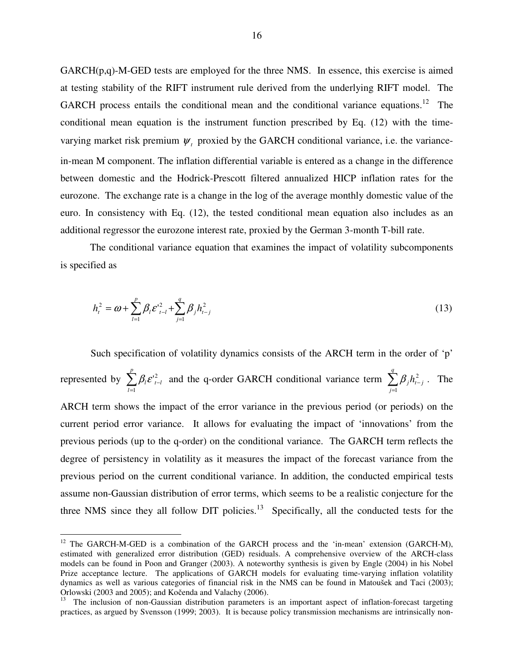GARCH(p,q)-M-GED tests are employed for the three NMS. In essence, this exercise is aimed at testing stability of the RIFT instrument rule derived from the underlying RIFT model. The GARCH process entails the conditional mean and the conditional variance equations.<sup>12</sup> The conditional mean equation is the instrument function prescribed by Eq. (12) with the timevarying market risk premium  $\psi_t$  proxied by the GARCH conditional variance, i.e. the variancein-mean M component. The inflation differential variable is entered as a change in the difference between domestic and the Hodrick-Prescott filtered annualized HICP inflation rates for the eurozone. The exchange rate is a change in the log of the average monthly domestic value of the euro. In consistency with Eq. (12), the tested conditional mean equation also includes as an additional regressor the eurozone interest rate, proxied by the German 3-month T-bill rate.

The conditional variance equation that examines the impact of volatility subcomponents is specified as

$$
h_t^2 = \omega + \sum_{l=1}^p \beta_l \varepsilon_{l-l}^2 + \sum_{j=1}^q \beta_j h_{t-j}^2
$$
\n(13)

Such specification of volatility dynamics consists of the ARCH term in the order of 'p' represented by  $\sum_{ }^{ }$ = − *p l*  $l^{\mathcal{L}}$   $_{t-l}$ 1  $\beta_i \mathcal{E}_{i-l}^2$  and the q-order GARCH conditional variance term  $\sum_{l=1}^{l}$ = − *q j*  $h_{t-j}^2$ 1  $\beta_i h_{i-i}^2$ . The ARCH term shows the impact of the error variance in the previous period (or periods) on the current period error variance. It allows for evaluating the impact of 'innovations' from the previous periods (up to the q-order) on the conditional variance. The GARCH term reflects the degree of persistency in volatility as it measures the impact of the forecast variance from the previous period on the current conditional variance. In addition, the conducted empirical tests assume non-Gaussian distribution of error terms, which seems to be a realistic conjecture for the three NMS since they all follow DIT policies.<sup>13</sup> Specifically, all the conducted tests for the

 $\overline{a}$ 

<sup>&</sup>lt;sup>12</sup> The GARCH-M-GED is a combination of the GARCH process and the 'in-mean' extension (GARCH-M), estimated with generalized error distribution (GED) residuals. A comprehensive overview of the ARCH-class models can be found in Poon and Granger (2003). A noteworthy synthesis is given by Engle (2004) in his Nobel Prize acceptance lecture. The applications of GARCH models for evaluating time-varying inflation volatility dynamics as well as various categories of financial risk in the NMS can be found in Matoušek and Taci (2003); Orlowski (2003 and 2005); and Kočenda and Valachy (2006).

<sup>13</sup> The inclusion of non-Gaussian distribution parameters is an important aspect of inflation-forecast targeting practices, as argued by Svensson (1999; 2003). It is because policy transmission mechanisms are intrinsically non-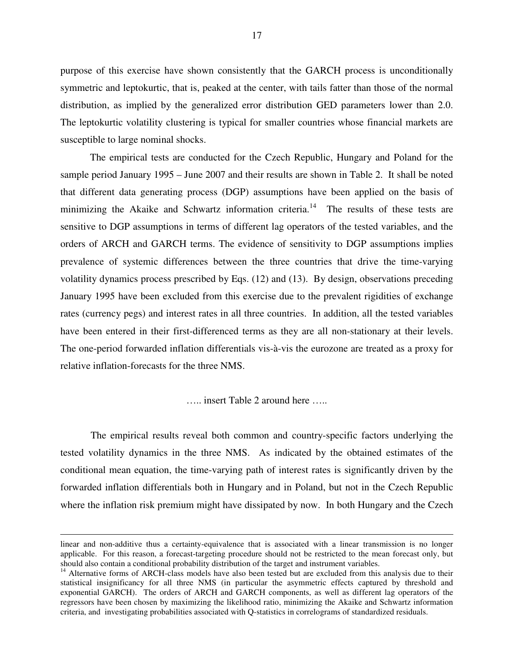purpose of this exercise have shown consistently that the GARCH process is unconditionally symmetric and leptokurtic, that is, peaked at the center, with tails fatter than those of the normal distribution, as implied by the generalized error distribution GED parameters lower than 2.0. The leptokurtic volatility clustering is typical for smaller countries whose financial markets are susceptible to large nominal shocks.

The empirical tests are conducted for the Czech Republic, Hungary and Poland for the sample period January 1995 – June 2007 and their results are shown in Table 2. It shall be noted that different data generating process (DGP) assumptions have been applied on the basis of minimizing the Akaike and Schwartz information criteria.<sup>14</sup> The results of these tests are sensitive to DGP assumptions in terms of different lag operators of the tested variables, and the orders of ARCH and GARCH terms. The evidence of sensitivity to DGP assumptions implies prevalence of systemic differences between the three countries that drive the time-varying volatility dynamics process prescribed by Eqs. (12) and (13). By design, observations preceding January 1995 have been excluded from this exercise due to the prevalent rigidities of exchange rates (currency pegs) and interest rates in all three countries. In addition, all the tested variables have been entered in their first-differenced terms as they are all non-stationary at their levels. The one-period forwarded inflation differentials vis-à-vis the eurozone are treated as a proxy for relative inflation-forecasts for the three NMS.

#### ….. insert Table 2 around here …..

The empirical results reveal both common and country-specific factors underlying the tested volatility dynamics in the three NMS. As indicated by the obtained estimates of the conditional mean equation, the time-varying path of interest rates is significantly driven by the forwarded inflation differentials both in Hungary and in Poland, but not in the Czech Republic where the inflation risk premium might have dissipated by now. In both Hungary and the Czech

 $\overline{a}$ 

linear and non-additive thus a certainty-equivalence that is associated with a linear transmission is no longer applicable. For this reason, a forecast-targeting procedure should not be restricted to the mean forecast only, but should also contain a conditional probability distribution of the target and instrument variables.

<sup>&</sup>lt;sup>14</sup> Alternative forms of ARCH-class models have also been tested but are excluded from this analysis due to their statistical insignificancy for all three NMS (in particular the asymmetric effects captured by threshold and exponential GARCH). The orders of ARCH and GARCH components, as well as different lag operators of the regressors have been chosen by maximizing the likelihood ratio, minimizing the Akaike and Schwartz information criteria, and investigating probabilities associated with Q-statistics in correlograms of standardized residuals.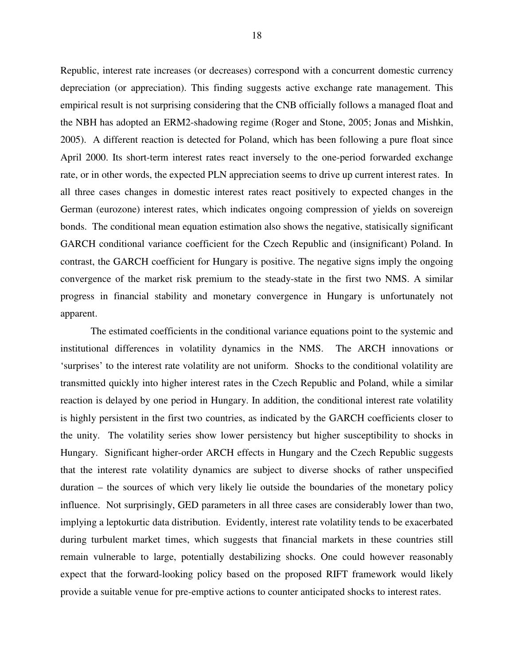Republic, interest rate increases (or decreases) correspond with a concurrent domestic currency depreciation (or appreciation). This finding suggests active exchange rate management. This empirical result is not surprising considering that the CNB officially follows a managed float and the NBH has adopted an ERM2-shadowing regime (Roger and Stone, 2005; Jonas and Mishkin, 2005). A different reaction is detected for Poland, which has been following a pure float since April 2000. Its short-term interest rates react inversely to the one-period forwarded exchange rate, or in other words, the expected PLN appreciation seems to drive up current interest rates. In all three cases changes in domestic interest rates react positively to expected changes in the German (eurozone) interest rates, which indicates ongoing compression of yields on sovereign bonds. The conditional mean equation estimation also shows the negative, statisically significant GARCH conditional variance coefficient for the Czech Republic and (insignificant) Poland. In contrast, the GARCH coefficient for Hungary is positive. The negative signs imply the ongoing convergence of the market risk premium to the steady-state in the first two NMS. A similar progress in financial stability and monetary convergence in Hungary is unfortunately not apparent.

The estimated coefficients in the conditional variance equations point to the systemic and institutional differences in volatility dynamics in the NMS. The ARCH innovations or 'surprises' to the interest rate volatility are not uniform. Shocks to the conditional volatility are transmitted quickly into higher interest rates in the Czech Republic and Poland, while a similar reaction is delayed by one period in Hungary. In addition, the conditional interest rate volatility is highly persistent in the first two countries, as indicated by the GARCH coefficients closer to the unity. The volatility series show lower persistency but higher susceptibility to shocks in Hungary. Significant higher-order ARCH effects in Hungary and the Czech Republic suggests that the interest rate volatility dynamics are subject to diverse shocks of rather unspecified duration – the sources of which very likely lie outside the boundaries of the monetary policy influence. Not surprisingly, GED parameters in all three cases are considerably lower than two, implying a leptokurtic data distribution. Evidently, interest rate volatility tends to be exacerbated during turbulent market times, which suggests that financial markets in these countries still remain vulnerable to large, potentially destabilizing shocks. One could however reasonably expect that the forward-looking policy based on the proposed RIFT framework would likely provide a suitable venue for pre-emptive actions to counter anticipated shocks to interest rates.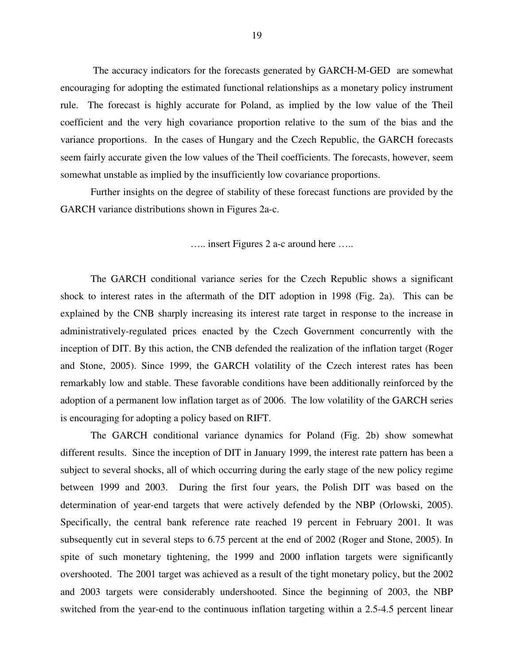The accuracy indicators for the forecasts generated by GARCH-M-GED are somewhat encouraging for adopting the estimated functional relationships as a monetary policy instrument rule. The forecast is highly accurate for Poland, as implied by the low value of the Theil coefficient and the very high covariance proportion relative to the sum of the bias and the variance proportions. In the cases of Hungary and the Czech Republic, the GARCH forecasts seem fairly accurate given the low values of the Theil coefficients. The forecasts, however, seem somewhat unstable as implied by the insufficiently low covariance proportions.

Further insights on the degree of stability of these forecast functions are provided by the GARCH variance distributions shown in Figures 2a-c.

….. insert Figures 2 a-c around here …..

The GARCH conditional variance series for the Czech Republic shows a significant shock to interest rates in the aftermath of the DIT adoption in 1998 (Fig. 2a). This can be explained by the CNB sharply increasing its interest rate target in response to the increase in administratively-regulated prices enacted by the Czech Government concurrently with the inception of DIT. By this action, the CNB defended the realization of the inflation target (Roger and Stone, 2005). Since 1999, the GARCH volatility of the Czech interest rates has been remarkably low and stable. These favorable conditions have been additionally reinforced by the adoption of a permanent low inflation target as of 2006. The low volatility of the GARCH series is encouraging for adopting a policy based on RIFT.

The GARCH conditional variance dynamics for Poland (Fig. 2b) show somewhat different results. Since the inception of DIT in January 1999, the interest rate pattern has been a subject to several shocks, all of which occurring during the early stage of the new policy regime between 1999 and 2003. During the first four years, the Polish DIT was based on the determination of year-end targets that were actively defended by the NBP (Orlowski, 2005). Specifically, the central bank reference rate reached 19 percent in February 2001. It was subsequently cut in several steps to 6.75 percent at the end of 2002 (Roger and Stone, 2005). In spite of such monetary tightening, the 1999 and 2000 inflation targets were significantly overshooted. The 2001 target was achieved as a result of the tight monetary policy, but the 2002 and 2003 targets were considerably undershooted. Since the beginning of 2003, the NBP switched from the year-end to the continuous inflation targeting within a 2.5-4.5 percent linear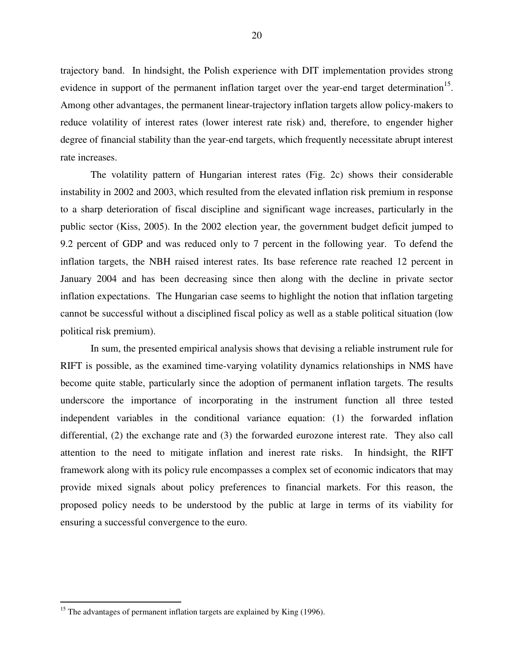trajectory band. In hindsight, the Polish experience with DIT implementation provides strong evidence in support of the permanent inflation target over the year-end target determination<sup>15</sup>. Among other advantages, the permanent linear-trajectory inflation targets allow policy-makers to reduce volatility of interest rates (lower interest rate risk) and, therefore, to engender higher degree of financial stability than the year-end targets, which frequently necessitate abrupt interest rate increases.

The volatility pattern of Hungarian interest rates (Fig. 2c) shows their considerable instability in 2002 and 2003, which resulted from the elevated inflation risk premium in response to a sharp deterioration of fiscal discipline and significant wage increases, particularly in the public sector (Kiss, 2005). In the 2002 election year, the government budget deficit jumped to 9.2 percent of GDP and was reduced only to 7 percent in the following year. To defend the inflation targets, the NBH raised interest rates. Its base reference rate reached 12 percent in January 2004 and has been decreasing since then along with the decline in private sector inflation expectations. The Hungarian case seems to highlight the notion that inflation targeting cannot be successful without a disciplined fiscal policy as well as a stable political situation (low political risk premium).

In sum, the presented empirical analysis shows that devising a reliable instrument rule for RIFT is possible, as the examined time-varying volatility dynamics relationships in NMS have become quite stable, particularly since the adoption of permanent inflation targets. The results underscore the importance of incorporating in the instrument function all three tested independent variables in the conditional variance equation: (1) the forwarded inflation differential, (2) the exchange rate and (3) the forwarded eurozone interest rate. They also call attention to the need to mitigate inflation and inerest rate risks. In hindsight, the RIFT framework along with its policy rule encompasses a complex set of economic indicators that may provide mixed signals about policy preferences to financial markets. For this reason, the proposed policy needs to be understood by the public at large in terms of its viability for ensuring a successful convergence to the euro.

l

<sup>&</sup>lt;sup>15</sup> The advantages of permanent inflation targets are explained by King (1996).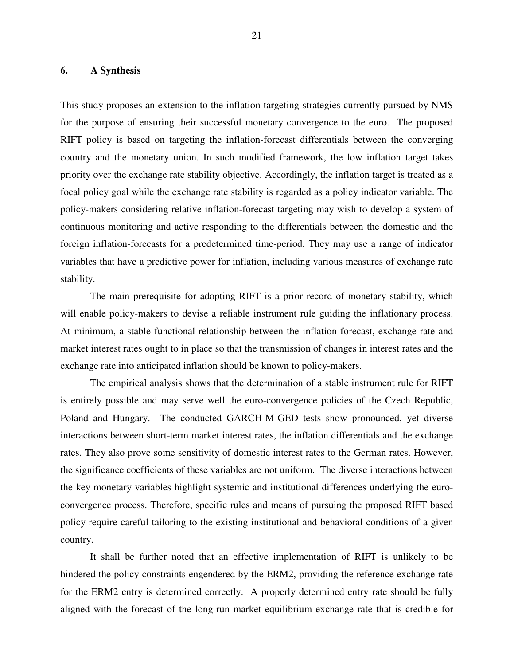# **6. A Synthesis**

This study proposes an extension to the inflation targeting strategies currently pursued by NMS for the purpose of ensuring their successful monetary convergence to the euro. The proposed RIFT policy is based on targeting the inflation-forecast differentials between the converging country and the monetary union. In such modified framework, the low inflation target takes priority over the exchange rate stability objective. Accordingly, the inflation target is treated as a focal policy goal while the exchange rate stability is regarded as a policy indicator variable. The policy-makers considering relative inflation-forecast targeting may wish to develop a system of continuous monitoring and active responding to the differentials between the domestic and the foreign inflation-forecasts for a predetermined time-period. They may use a range of indicator variables that have a predictive power for inflation, including various measures of exchange rate stability.

 The main prerequisite for adopting RIFT is a prior record of monetary stability, which will enable policy-makers to devise a reliable instrument rule guiding the inflationary process. At minimum, a stable functional relationship between the inflation forecast, exchange rate and market interest rates ought to in place so that the transmission of changes in interest rates and the exchange rate into anticipated inflation should be known to policy-makers.

The empirical analysis shows that the determination of a stable instrument rule for RIFT is entirely possible and may serve well the euro-convergence policies of the Czech Republic, Poland and Hungary. The conducted GARCH-M-GED tests show pronounced, yet diverse interactions between short-term market interest rates, the inflation differentials and the exchange rates. They also prove some sensitivity of domestic interest rates to the German rates. However, the significance coefficients of these variables are not uniform. The diverse interactions between the key monetary variables highlight systemic and institutional differences underlying the euroconvergence process. Therefore, specific rules and means of pursuing the proposed RIFT based policy require careful tailoring to the existing institutional and behavioral conditions of a given country.

 It shall be further noted that an effective implementation of RIFT is unlikely to be hindered the policy constraints engendered by the ERM2, providing the reference exchange rate for the ERM2 entry is determined correctly. A properly determined entry rate should be fully aligned with the forecast of the long-run market equilibrium exchange rate that is credible for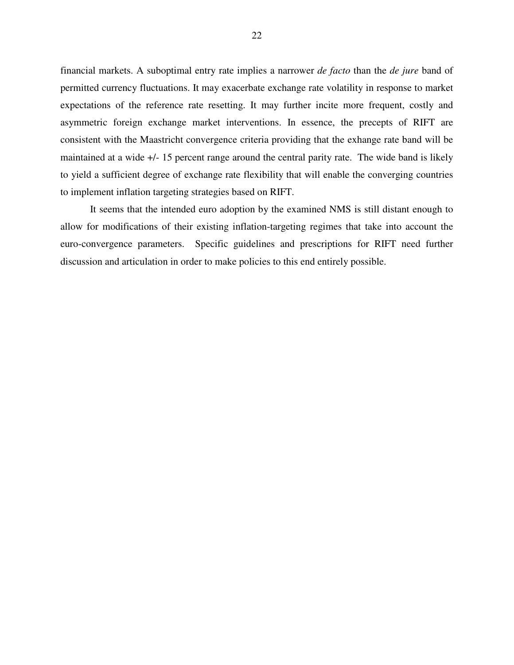financial markets. A suboptimal entry rate implies a narrower *de facto* than the *de jure* band of permitted currency fluctuations. It may exacerbate exchange rate volatility in response to market expectations of the reference rate resetting. It may further incite more frequent, costly and asymmetric foreign exchange market interventions. In essence, the precepts of RIFT are consistent with the Maastricht convergence criteria providing that the exhange rate band will be maintained at a wide +/- 15 percent range around the central parity rate. The wide band is likely to yield a sufficient degree of exchange rate flexibility that will enable the converging countries to implement inflation targeting strategies based on RIFT.

It seems that the intended euro adoption by the examined NMS is still distant enough to allow for modifications of their existing inflation-targeting regimes that take into account the euro-convergence parameters. Specific guidelines and prescriptions for RIFT need further discussion and articulation in order to make policies to this end entirely possible.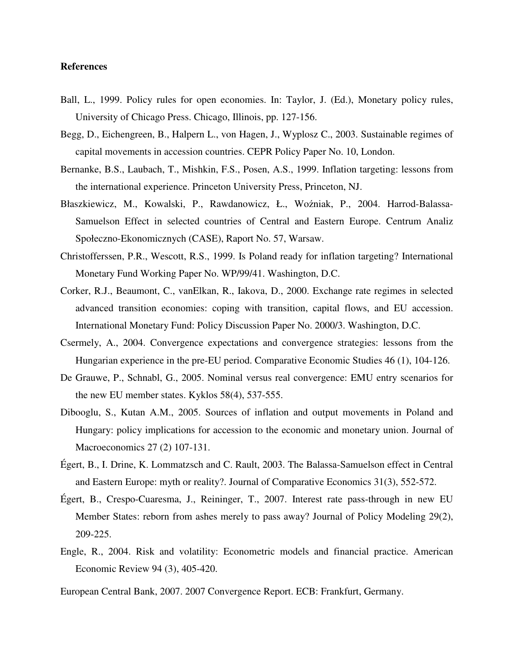### **References**

- Ball, L., 1999. Policy rules for open economies. In: Taylor, J. (Ed.), Monetary policy rules, University of Chicago Press. Chicago, Illinois, pp. 127-156.
- Begg, D., Eichengreen, B., Halpern L., von Hagen, J., Wyplosz C., 2003. Sustainable regimes of capital movements in accession countries. CEPR Policy Paper No. 10, London.
- Bernanke, B.S., Laubach, T., Mishkin, F.S., Posen, A.S., 1999. Inflation targeting: lessons from the international experience. Princeton University Press, Princeton, NJ.
- Błaszkiewicz, M., Kowalski, P., Rawdanowicz, Ł., Woźniak, P., 2004. Harrod-Balassa-Samuelson Effect in selected countries of Central and Eastern Europe. Centrum Analiz Społeczno-Ekonomicznych (CASE), Raport No. 57, Warsaw.
- Christofferssen, P.R., Wescott, R.S., 1999. Is Poland ready for inflation targeting? International Monetary Fund Working Paper No. WP/99/41. Washington, D.C.
- Corker, R.J., Beaumont, C., vanElkan, R., Iakova, D., 2000. Exchange rate regimes in selected advanced transition economies: coping with transition, capital flows, and EU accession. International Monetary Fund: Policy Discussion Paper No. 2000/3. Washington, D.C.
- Csermely, A., 2004. Convergence expectations and convergence strategies: lessons from the Hungarian experience in the pre-EU period. Comparative Economic Studies 46 (1), 104-126.
- De Grauwe, P., Schnabl, G., 2005. Nominal versus real convergence: EMU entry scenarios for the new EU member states. Kyklos 58(4), 537-555.
- Dibooglu, S., Kutan A.M., 2005. Sources of inflation and output movements in Poland and Hungary: policy implications for accession to the economic and monetary union. Journal of Macroeconomics 27 (2) 107-131.
- Égert, B., I. Drine, K. Lommatzsch and C. Rault, 2003. The Balassa-Samuelson effect in Central and Eastern Europe: myth or reality?. Journal of Comparative Economics 31(3), 552-572.
- Égert, B., Crespo-Cuaresma, J., Reininger, T., 2007. Interest rate pass-through in new EU Member States: reborn from ashes merely to pass away? Journal of Policy Modeling 29(2), 209-225.
- Engle, R., 2004. Risk and volatility: Econometric models and financial practice. American Economic Review 94 (3), 405-420.
- European Central Bank, 2007. 2007 Convergence Report. ECB: Frankfurt, Germany.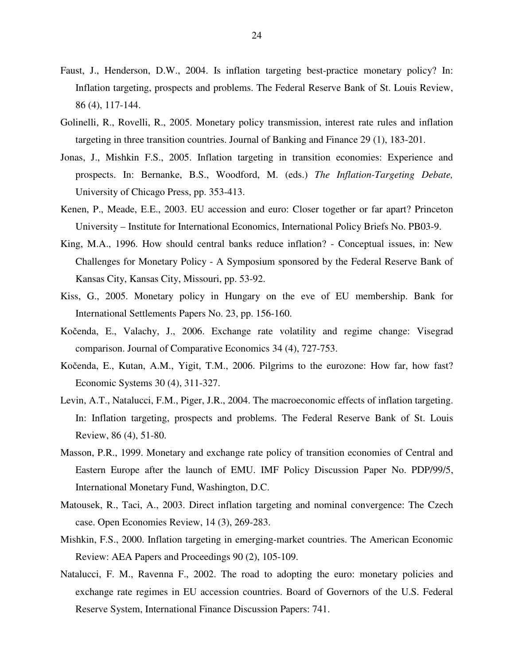- Faust, J., Henderson, D.W., 2004. Is inflation targeting best-practice monetary policy? In: Inflation targeting, prospects and problems. The Federal Reserve Bank of St. Louis Review, 86 (4), 117-144.
- Golinelli, R., Rovelli, R., 2005. Monetary policy transmission, interest rate rules and inflation targeting in three transition countries. Journal of Banking and Finance 29 (1), 183-201.
- Jonas, J., Mishkin F.S., 2005. Inflation targeting in transition economies: Experience and prospects. In: Bernanke, B.S., Woodford, M. (eds.) *The Inflation-Targeting Debate,*  University of Chicago Press, pp. 353-413.
- Kenen, P., Meade, E.E., 2003. EU accession and euro: Closer together or far apart? Princeton University – Institute for International Economics, International Policy Briefs No. PB03-9.
- King, M.A., 1996. How should central banks reduce inflation? Conceptual issues, in: New Challenges for Monetary Policy - A Symposium sponsored by the Federal Reserve Bank of Kansas City, Kansas City, Missouri, pp. 53-92.
- Kiss, G., 2005. Monetary policy in Hungary on the eve of EU membership. Bank for International Settlements Papers No. 23, pp. 156-160.
- Kočenda, E., Valachy, J., 2006. Exchange rate volatility and regime change: Visegrad comparison. Journal of Comparative Economics 34 (4), 727-753.
- Kočenda, E., Kutan, A.M., Yigit, T.M., 2006. Pilgrims to the eurozone: How far, how fast? Economic Systems 30 (4), 311-327.
- Levin, A.T., Natalucci, F.M., Piger, J.R., 2004. The macroeconomic effects of inflation targeting. In: Inflation targeting, prospects and problems. The Federal Reserve Bank of St. Louis Review, 86 (4), 51-80.
- Masson, P.R., 1999. Monetary and exchange rate policy of transition economies of Central and Eastern Europe after the launch of EMU. IMF Policy Discussion Paper No. PDP/99/5, International Monetary Fund, Washington, D.C.
- Matousek, R., Taci, A., 2003. Direct inflation targeting and nominal convergence: The Czech case. Open Economies Review, 14 (3), 269-283.
- Mishkin, F.S., 2000. Inflation targeting in emerging-market countries. The American Economic Review: AEA Papers and Proceedings 90 (2), 105-109.
- Natalucci, F. M., Ravenna F., 2002. The road to adopting the euro: monetary policies and exchange rate regimes in EU accession countries. Board of Governors of the U.S. Federal Reserve System, International Finance Discussion Papers: 741.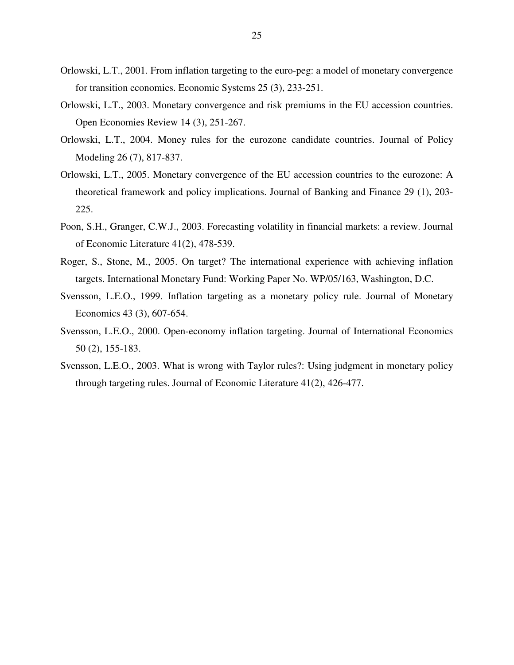- Orlowski, L.T., 2001. From inflation targeting to the euro-peg: a model of monetary convergence for transition economies. Economic Systems 25 (3), 233-251.
- Orlowski, L.T., 2003. Monetary convergence and risk premiums in the EU accession countries. Open Economies Review 14 (3), 251-267.
- Orlowski, L.T., 2004. Money rules for the eurozone candidate countries. Journal of Policy Modeling 26 (7), 817-837.
- Orlowski, L.T., 2005. Monetary convergence of the EU accession countries to the eurozone: A theoretical framework and policy implications. Journal of Banking and Finance 29 (1), 203- 225.
- Poon, S.H., Granger, C.W.J., 2003. Forecasting volatility in financial markets: a review. Journal of Economic Literature 41(2), 478-539.
- Roger, S., Stone, M., 2005. On target? The international experience with achieving inflation targets. International Monetary Fund: Working Paper No. WP/05/163, Washington, D.C.
- Svensson, L.E.O., 1999. Inflation targeting as a monetary policy rule. Journal of Monetary Economics 43 (3), 607-654.
- Svensson, L.E.O., 2000. Open-economy inflation targeting. Journal of International Economics 50 (2), 155-183.
- Svensson, L.E.O., 2003. What is wrong with Taylor rules?: Using judgment in monetary policy through targeting rules. Journal of Economic Literature 41(2), 426-477.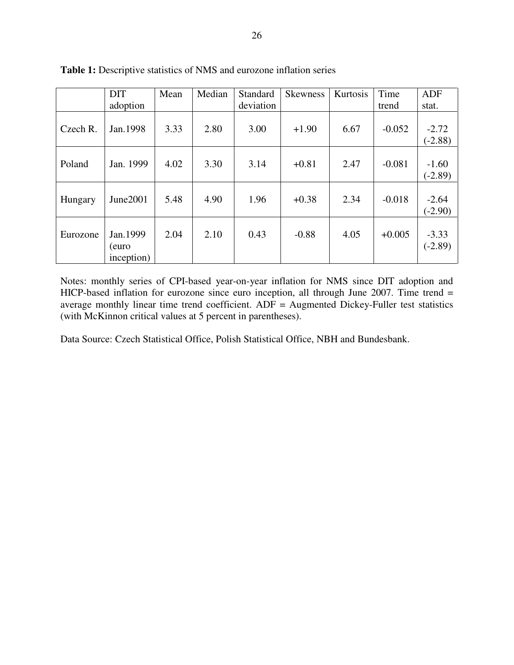|          | <b>DIT</b><br>adoption          | Mean | Median | Standard<br>deviation | <b>Skewness</b> | Kurtosis | Time<br>trend | <b>ADF</b><br>stat.  |
|----------|---------------------------------|------|--------|-----------------------|-----------------|----------|---------------|----------------------|
| Czech R. | Jan.1998                        | 3.33 | 2.80   | 3.00                  | $+1.90$         | 6.67     | $-0.052$      | $-2.72$<br>$(-2.88)$ |
| Poland   | Jan. 1999                       | 4.02 | 3.30   | 3.14                  | $+0.81$         | 2.47     | $-0.081$      | $-1.60$<br>$(-2.89)$ |
| Hungary  | June2001                        | 5.48 | 4.90   | 1.96                  | $+0.38$         | 2.34     | $-0.018$      | $-2.64$<br>$(-2.90)$ |
| Eurozone | Jan.1999<br>(euro<br>inception) | 2.04 | 2.10   | 0.43                  | $-0.88$         | 4.05     | $+0.005$      | $-3.33$<br>$(-2.89)$ |

**Table 1:** Descriptive statistics of NMS and eurozone inflation series

Notes: monthly series of CPI-based year-on-year inflation for NMS since DIT adoption and HICP-based inflation for eurozone since euro inception, all through June 2007. Time trend = average monthly linear time trend coefficient. ADF = Augmented Dickey-Fuller test statistics (with McKinnon critical values at 5 percent in parentheses).

Data Source: Czech Statistical Office, Polish Statistical Office, NBH and Bundesbank.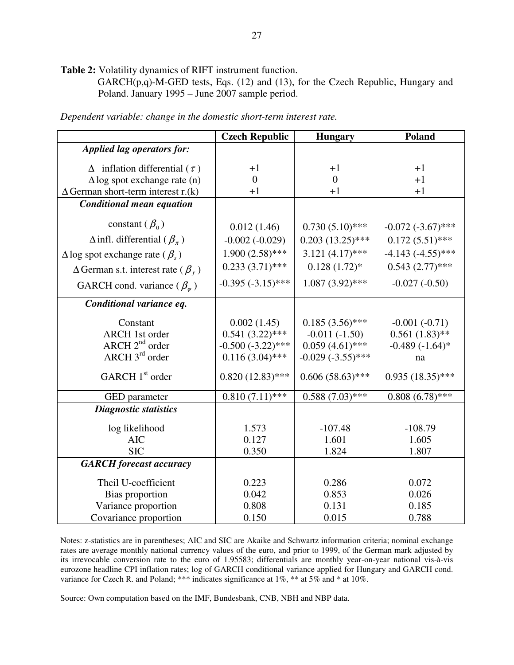**Table 2:** Volatility dynamics of RIFT instrument function.

 GARCH(p,q)-M-GED tests, Eqs. (12) and (13), for the Czech Republic, Hungary and Poland. January 1995 – June 2007 sample period.

|                                                  | <b>Czech Republic</b>                  | <b>Hungary</b>                       | Poland                 |  |
|--------------------------------------------------|----------------------------------------|--------------------------------------|------------------------|--|
| Applied lag operators for:                       |                                        |                                      |                        |  |
| $\Delta$ inflation differential ( $\tau$ )       | $+1$                                   | $+1$                                 | $+1$                   |  |
| $\Delta$ log spot exchange rate (n)              | $\overline{0}$                         | $\overline{0}$                       | $+1$                   |  |
| $\Delta$ German short-term interest r.(k)        | $+1$                                   | $+1$                                 | $+1$                   |  |
| <b>Conditional mean equation</b>                 |                                        |                                      |                        |  |
|                                                  |                                        |                                      |                        |  |
| constant ( $\beta_0$ )                           | 0.012(1.46)                            | $0.730(5.10)$ ***                    | $-0.072$ $(-3.67)$ *** |  |
| $\Delta$ infl. differential ( $\beta_{\pi}$ )    | $-0.002(-0.029)$<br>$0.203(13.25)$ *** |                                      | $0.172(5.51)$ ***      |  |
| $\Delta$ log spot exchange rate ( $\beta$ ,)     | $1.900(2.58)$ ***<br>$3.121(4.17)$ *** |                                      | $-4.143 (-4.55)$ ***   |  |
| $\Delta$ German s.t. interest rate ( $\beta_f$ ) | $0.233(3.71)$ ***<br>$0.128(1.72)$ *   |                                      | $0.543(2.77)$ ***      |  |
| GARCH cond. variance ( $\beta_{\nu}$ )           | $-0.395 (-3.15)$ ***                   | $1.087(3.92)$ ***                    | $-0.027(-0.50)$        |  |
| Conditional variance eq.                         |                                        |                                      |                        |  |
|                                                  |                                        |                                      |                        |  |
| Constant<br><b>ARCH</b> 1st order                | 0.002(1.45)                            | $0.185(3.56)$ ***                    | $-0.001(-0.71)$        |  |
| ARCH 2 <sup>nd</sup> order                       | $0.541(3.22)$ ***                      | $-0.011(-1.50)$<br>$0.059(4.61)$ *** | $0.561(1.83)$ **       |  |
| ARCH 3 <sup>rd</sup> order                       | $-0.500(-3.22)$ ***                    |                                      | $-0.489(-1.64)$ *      |  |
|                                                  | $0.116(3.04)$ ***                      | $-0.029(-3.55)$ ***                  | na                     |  |
| GARCH 1 <sup>st</sup> order                      | $0.820(12.83)$ ***                     | $0.606(58.63)$ ***                   | $0.935(18.35)$ ***     |  |
| GED parameter                                    | $0.810(7.11)$ ***                      | $0.588(7.03)$ ***                    | $0.808(6.78)$ ***      |  |
| <b>Diagnostic statistics</b>                     |                                        |                                      |                        |  |
| log likelihood                                   | 1.573                                  | $-107.48$                            | $-108.79$              |  |
| <b>AIC</b>                                       | 0.127                                  | 1.601                                | 1.605                  |  |
| <b>SIC</b>                                       | 0.350                                  | 1.824                                | 1.807                  |  |
| <b>GARCH</b> forecast accuracy                   |                                        |                                      |                        |  |
|                                                  |                                        |                                      |                        |  |
| Theil U-coefficient                              | 0.223                                  | 0.286                                | 0.072                  |  |
| Bias proportion                                  | 0.042                                  | 0.853                                | 0.026                  |  |
| Variance proportion                              | 0.808                                  | 0.131                                | 0.185                  |  |
| Covariance proportion                            | 0.150                                  | 0.015                                | 0.788                  |  |

*Dependent variable: change in the domestic short-term interest rate.* 

Notes: z-statistics are in parentheses; AIC and SIC are Akaike and Schwartz information criteria; nominal exchange rates are average monthly national currency values of the euro, and prior to 1999, of the German mark adjusted by its irrevocable conversion rate to the euro of 1.95583; differentials are monthly year-on-year national vis-à-vis eurozone headline CPI inflation rates; log of GARCH conditional variance applied for Hungary and GARCH cond. variance for Czech R. and Poland; \*\*\* indicates significance at 1%, \*\* at 5% and \* at 10%.

Source: Own computation based on the IMF, Bundesbank, CNB, NBH and NBP data.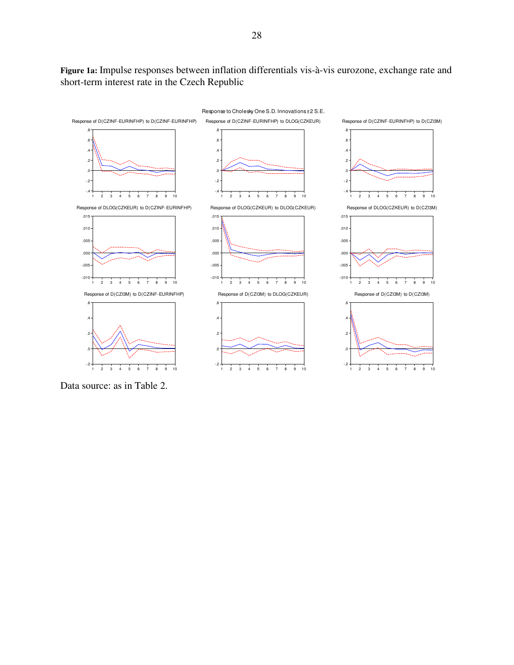**Figure 1a:** Impulse responses between inflation differentials vis-à-vis eurozone, exchange rate and short-term interest rate in the Czech Republic



Data source: as in Table 2.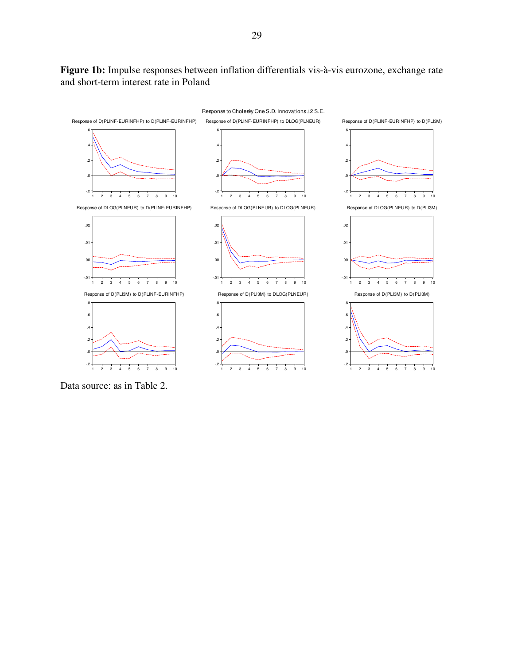**Figure 1b:** Impulse responses between inflation differentials vis-à-vis eurozone, exchange rate and short-term interest rate in Poland



Data source: as in Table 2.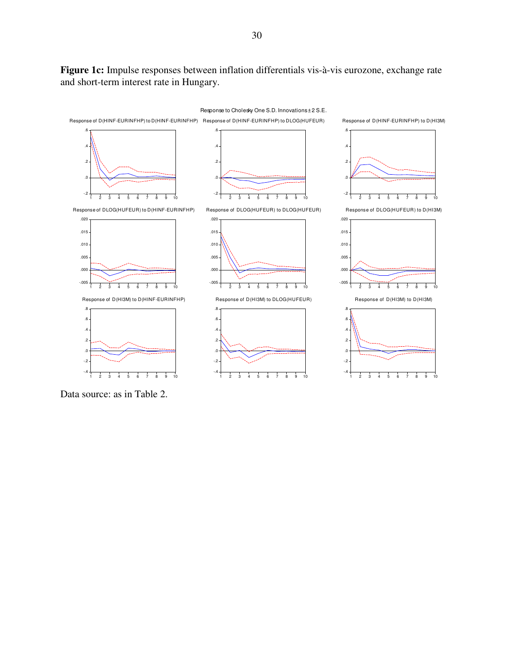**Figure 1c:** Impulse responses between inflation differentials vis-à-vis eurozone, exchange rate and short-term interest rate in Hungary.



Data source: as in Table 2.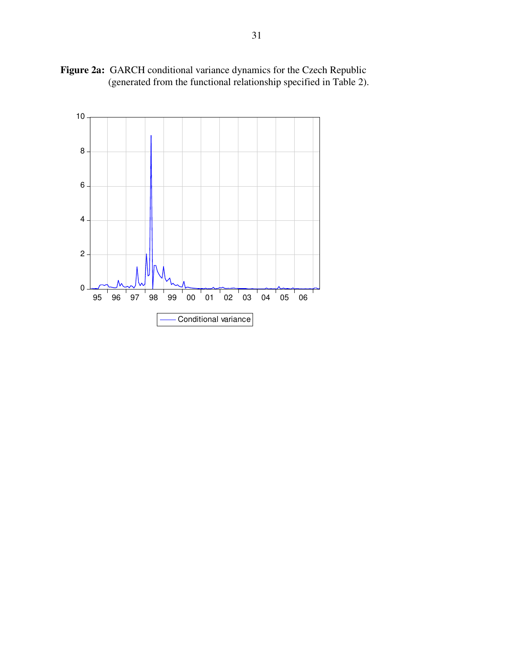Figure 2a: GARCH conditional variance dynamics for the Czech Republic (generated from the functional relationship specified in Table 2).

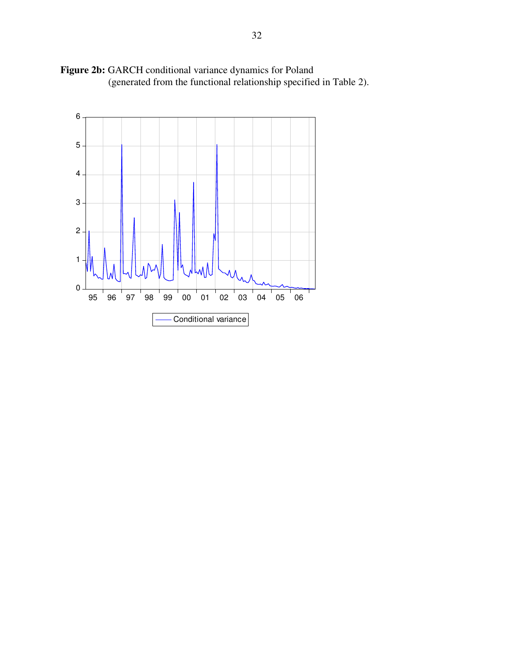

Figure 2b: GARCH conditional variance dynamics for Poland (generated from the functional relationship specified in Table 2).